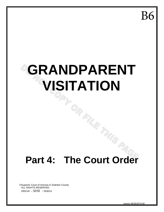**B6** 

# **GRANDPARENT VISITATION**

# **Part 4: The Court Order**

©Superior Court of Arizona in Graham County ALL RIGHTS RESERVED DRGV8 – 5050 - 053014

version 06/25/2015-b6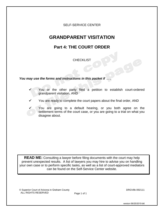### SELF-SERVICE CENTER

### **GRANDPARENT VISITATION**

### **Part 4: THE COURT ORDER**

**CHECKLIST** 

*You may use the forms and instructions in this packet if . . .*

- You or the other party filed a petition to establish court-ordered grandparent visitation, AND
- You are ready to complete the court papers about the final order, AND
	- You are going to a default hearing, or you both agree on the settlement terms of the court case, or you are going to a trial on what you disagree about.

**READ ME:** Consulting a lawyer before filing documents with the court may help prevent unexpected results. A list of lawyers you may hire to advise you on handling your own case or to perform specific tasks, as well as a list of court-approved mediators can be found on the Self-Service Center website.

© Superior Court of Arizona in Graham County DRGV8k-092111 ALL RIGHTS RESERVED Page 1 of 1

version 06/25/2015-b6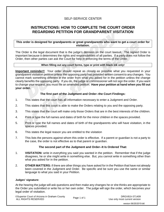### SELF-SERVICE CENTER

### **INSTRUCTIONS: HOW TO COMPLETE THE COURT ORDER REGARDING PETITION FOR GRANDPARENT VISITATION**

### **This order is designed for grandparents or great grandparents who want to get a court order for visitation.**

The Order is the legal document that is the judge's decision on the court lawsuit. The signed Order is important because it determines the rights and responsibilities of all parties. If a party does not follow the Order, then other parties can ask the Court for help in enforcing the terms of the Order.

### **When filling out any court forms, type or print with black ink only!**

**Important reminder!!** Your order should repeat as closely as possible what you requested in your grandparent visitation petition unless the opposing party has provided written consent to any changes. You cannot mark something different in the order from what you asked for in the petition unless the change clearly benefits the opposing party. If you do, the judge or commissioner will not sign the order. If you want to change your request, you must file an amended petition. **Have your petition at hand when you fill out your order.**

### **The first part of the Judgment and Order--the Court Findings:**

- 1. This states that the court has all information necessary to enter a Judgment and Order.
- 2. This states that this court is able to make the Orders relating to you and the opposing party.
- 3. This states that the court will make only those Orders that are in the best interests of the children.
- 4. Print or type the full names and dates of birth for the minor children in the spaces provided.
- 5. Print or type the full names and dates of birth of the grandparents who will have visitation, in the spaces provided.
- 6. This states the legal reason you are entitled to the visitation
- 7. This lists the persons against whom this order is effective. If a parent or guardian is not a party to the case, the order is not effective as to that parent or guardian.

### **The second part of the Judgment and Order--It Is Ordered That:**

- 1. **VISITATION:** write in everything you said you wanted in the petition. Remember that if the judge disagrees, he or she might write in something else. But, you cannot write in something other than what you asked for in the petition.
- 2. **OTHER MATTERS:** if there are other things you have asked for in the Petition that have not already been covered in the Judgment and Order. Be specific and be sure you use the same or similar language to what you said in your Petition.

### **Judges' signature:**

At the hearing the judge will ask questions and then make any changes he or she thinks are appropriate to the Order you submitted or write his or her own order. The judge will sign the order, which becomes your legal order of visitation.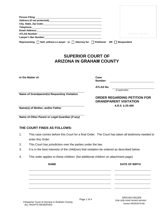| Address (if not protected): Manual Address (if not protected):                                           |                                     |  |
|----------------------------------------------------------------------------------------------------------|-------------------------------------|--|
|                                                                                                          |                                     |  |
|                                                                                                          |                                     |  |
|                                                                                                          |                                     |  |
|                                                                                                          | For Clerk's Use Only                |  |
|                                                                                                          |                                     |  |
| Representing $\Box$ Self, without a Lawyer or $\Box$ Attorney for $\Box$ Petitioner OR $\Box$ Respondent |                                     |  |
|                                                                                                          |                                     |  |
|                                                                                                          |                                     |  |
|                                                                                                          |                                     |  |
| <b>SUPERIOR COURT OF</b>                                                                                 |                                     |  |
|                                                                                                          |                                     |  |
| <b>ARIZONA IN GRAHAM COUNTY</b>                                                                          |                                     |  |
|                                                                                                          |                                     |  |
|                                                                                                          |                                     |  |
|                                                                                                          |                                     |  |
|                                                                                                          |                                     |  |
| In the Matter of:                                                                                        | Case                                |  |
|                                                                                                          | Number:                             |  |
|                                                                                                          |                                     |  |
|                                                                                                          | <b>ATLAS No.</b>                    |  |
|                                                                                                          | (if applicable)                     |  |
| Name of Grandparent(s) Requesting Visitation                                                             |                                     |  |
|                                                                                                          | <b>ORDER REGARDING PETITION FOR</b> |  |
|                                                                                                          | <b>GRANDPARENT VISITATION</b>       |  |
|                                                                                                          | A.R.S § 25-409                      |  |
| Name(s) of Mother, and/or Father                                                                         |                                     |  |
|                                                                                                          |                                     |  |
|                                                                                                          |                                     |  |
| Name of Other Parent or Legal Guardian (if any)                                                          |                                     |  |

### **THE COURT FINDS AS FOLLOWS:**

1. This case comes before this Court for a final Order. The Court has taken all testimony needed to enter this Order.

**NAME** DATE OF BIRTH

- 2. This Court has jurisdiction over the parties under the law.
- 3. It is in the best interests of the child(ren) that visitation be ordered as described below.
- 4. This order applies to these children: (list additional children on attachment page)

## ©Superior Court of Arizona in Graham County ALL RIGHTS RESERVED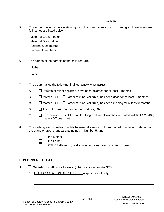| 5.                  | This order concerns the visitation rights of the grandparents or $\Box$ great grandparents whose<br>full names are listed below.                        |  |  |  |  |
|---------------------|---------------------------------------------------------------------------------------------------------------------------------------------------------|--|--|--|--|
|                     | <b>Maternal Grandmother:</b>                                                                                                                            |  |  |  |  |
|                     | Maternal Grandfather:                                                                                                                                   |  |  |  |  |
|                     | Paternal Grandmother:<br>and the control of the control of the control of the control of the control of the control of the control of the               |  |  |  |  |
|                     | Paternal Grandfather:                                                                                                                                   |  |  |  |  |
|                     |                                                                                                                                                         |  |  |  |  |
| 6.                  | The names of the parents of the child(ren) are:                                                                                                         |  |  |  |  |
|                     | Mother:                                                                                                                                                 |  |  |  |  |
|                     | Father:                                                                                                                                                 |  |  |  |  |
|                     |                                                                                                                                                         |  |  |  |  |
| 7.                  | The Court makes the following findings: (check which applies)                                                                                           |  |  |  |  |
|                     | Parents of minor child(ren) have been divorced for at least 3 months:<br>А.                                                                             |  |  |  |  |
|                     | OR $\Box$ Father of minor child(ren) has been dead for at least 3 months:<br>Β.<br>Mother                                                               |  |  |  |  |
|                     | C.<br>Mother<br>OR $\Box$ Father of minor child(ren) has been missing for at least 3 months:                                                            |  |  |  |  |
|                     | The child(ren) were born out of wedlock, OR<br>D.                                                                                                       |  |  |  |  |
|                     | Ε.<br>The requirements of Arizona law for grandparent visitation, as stated in A.R.S. § 25-409)<br>have NOT been met.                                   |  |  |  |  |
| 8.                  | This order governs visitation rights between the minor children named in number 4 above, and<br>the grand or great grandparents named in Number 5, and: |  |  |  |  |
|                     | the Mother                                                                                                                                              |  |  |  |  |
|                     | the Father                                                                                                                                              |  |  |  |  |
|                     | OTHER (Name of guardian or other person listed in caption to case):                                                                                     |  |  |  |  |
|                     |                                                                                                                                                         |  |  |  |  |
|                     |                                                                                                                                                         |  |  |  |  |
| IT IS ORDERED THAT: |                                                                                                                                                         |  |  |  |  |
| Α.                  | Visitation shall be as follows: (if NO visitation, skip to "C")                                                                                         |  |  |  |  |
|                     | <b>TRANSPORTATION OF CHILDREN:</b> (explain specifically)<br>1.                                                                                         |  |  |  |  |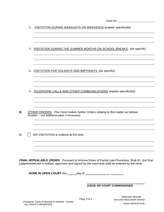Case No.

| 2. | VISITATION DURING WEEKDAYS OR WEEKENDS (explain specifically)                                                                                                                                            |                                                                         |
|----|----------------------------------------------------------------------------------------------------------------------------------------------------------------------------------------------------------|-------------------------------------------------------------------------|
| 3. | VISITATION DURING THE SUMMER MONTHS OR SCHOOL BREAKS: (be specific)                                                                                                                                      |                                                                         |
| 4. | VISITATION FOR HOLIDAYS AND BIRTHDAYS: (be specific):                                                                                                                                                    |                                                                         |
| 5. | TELEPHONE CALLS AND OTHER COMMUNICATIONS (explain specifically):                                                                                                                                         |                                                                         |
| В. | <b>OTHER ORDERS:</b> This Court makes further Orders relating to this matter as follows:<br>(Explain -- use additional paper if necessary)                                                               |                                                                         |
| С. | NO VISITATION is ordered at this time.                                                                                                                                                                   |                                                                         |
|    | <b>FINAL APPEALABLE ORDER.</b> Pursuant to Arizona Rules of Family Law Procedure, Rule 81, this final<br>judgment/decree is settled, approved and signed by the court and shall be entered by the clerk. |                                                                         |
|    |                                                                                                                                                                                                          | <b>JUDGE OR COURT COMMISSIONER</b>                                      |
|    | Page 3 of 4<br>©Superior Court of Arizona in Graham County<br>ALL RIGHTS RESERVED                                                                                                                        | DRGV81f 081009<br>Use only most recent version<br>version 06/25/2015-b6 |